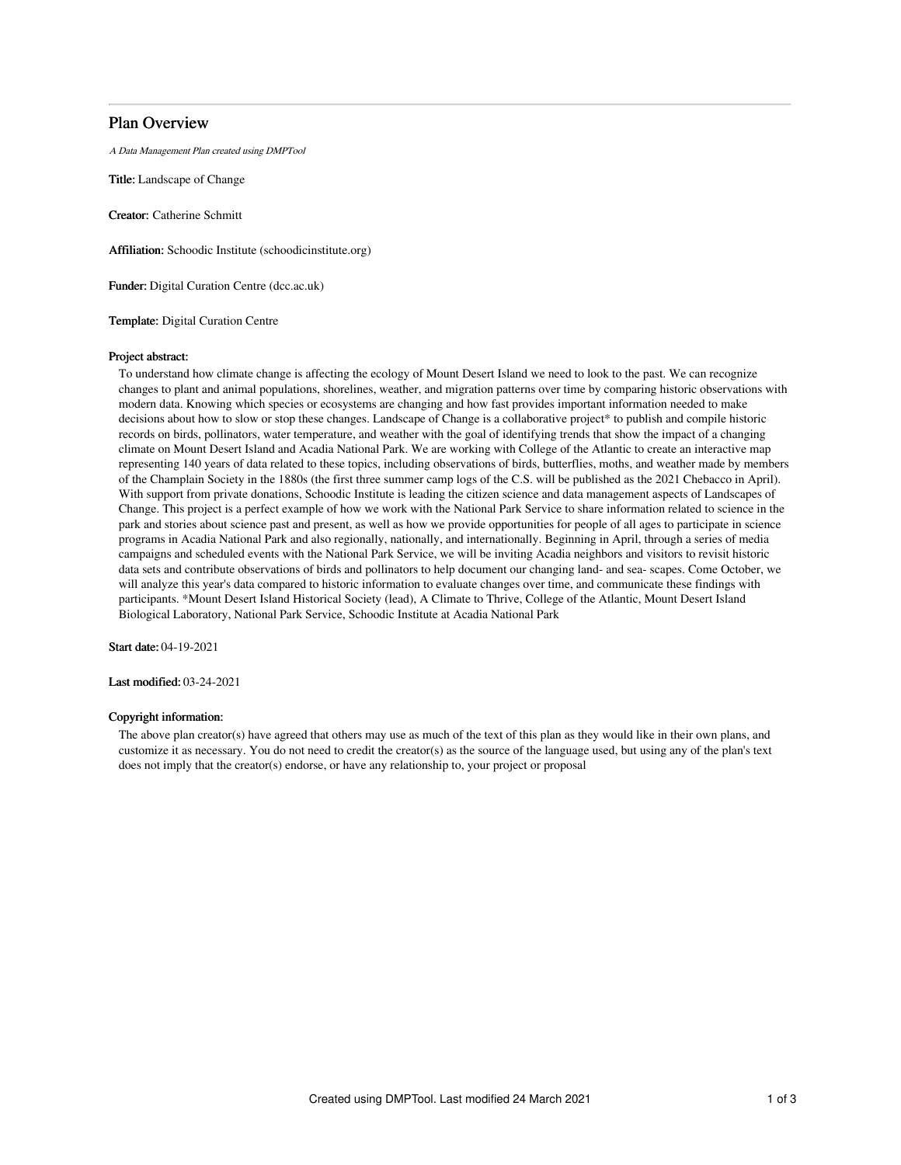## Plan Overview

A Data Management Plan created using DMPTool

Title: Landscape of Change

Creator: Catherine Schmitt

Affiliation: Schoodic Institute (schoodicinstitute.org)

Funder: Digital Curation Centre (dcc.ac.uk)

Template: Digital Curation Centre

#### Project abstract:

To understand how climate change is affecting the ecology of Mount Desert Island we need to look to the past. We can recognize changes to plant and animal populations, shorelines, weather, and migration patterns over time by comparing historic observations with modern data. Knowing which species or ecosystems are changing and how fast provides important information needed to make decisions about how to slow or stop these changes. Landscape of Change is a collaborative project\* to publish and compile historic records on birds, pollinators, water temperature, and weather with the goal of identifying trends that show the impact of a changing climate on Mount Desert Island and Acadia National Park. We are working with College of the Atlantic to create an interactive map representing 140 years of data related to these topics, including observations of birds, butterflies, moths, and weather made by members of the Champlain Society in the 1880s (the first three summer camp logs of the C.S. will be published as the 2021 Chebacco in April). With support from private donations, Schoodic Institute is leading the citizen science and data management aspects of Landscapes of Change. This project is a perfect example of how we work with the National Park Service to share information related to science in the park and stories about science past and present, as well as how we provide opportunities for people of all ages to participate in science programs in Acadia National Park and also regionally, nationally, and internationally. Beginning in April, through a series of media campaigns and scheduled events with the National Park Service, we will be inviting Acadia neighbors and visitors to revisit historic data sets and contribute observations of birds and pollinators to help document our changing land- and sea- scapes. Come October, we will analyze this year's data compared to historic information to evaluate changes over time, and communicate these findings with participants. \*Mount Desert Island Historical Society (lead), A Climate to Thrive, College of the Atlantic, Mount Desert Island Biological Laboratory, National Park Service, Schoodic Institute at Acadia National Park

Start date: 04-19-2021

Last modified: 03-24-2021

### Copyright information:

The above plan creator(s) have agreed that others may use as much of the text of this plan as they would like in their own plans, and customize it as necessary. You do not need to credit the creator(s) as the source of the language used, but using any of the plan's text does not imply that the creator(s) endorse, or have any relationship to, your project or proposal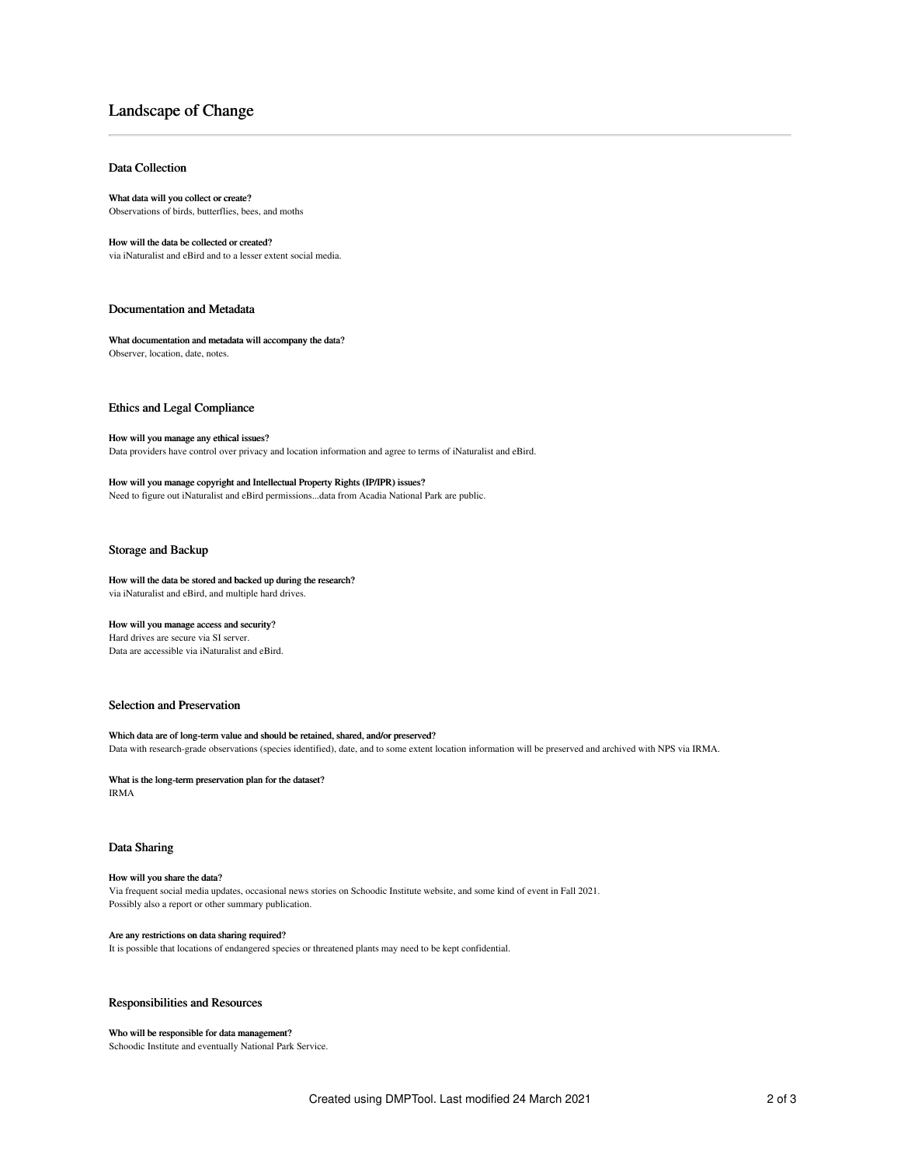# Landscape of Change

#### Data Collection

#### What data will you collect or create?

Observations of birds, butterflies, bees, and moths

#### How will the data be collected or created?

via iNaturalist and eBird and to a lesser extent social media.

#### Documentation and Metadata

What documentation and metadata will accompany the data? Observer, location, date, notes.

Ethics and Legal Compliance

#### How will you manage any ethical issues?

Data providers have control over privacy and location information and agree to terms of iNaturalist and eBird.

How will you manage copyright and Intellectual Property Rights (IP/IPR) issues?

Need to figure out iNaturalist and eBird permissions...data from Acadia National Park are public.

#### Storage and Backup

#### How will the data be stored and backed up during the research? via iNaturalist and eBird, and multiple hard drives.

#### How will you manage access and security?

Hard drives are secure via SI server. Data are accessible via iNaturalist and eBird.

## Selection and Preservation

Which data are of long-term value and should be retained, shared, and/or preserved? Data with research-grade observations (species identified), date, and to some extent location information will be preserved and archived with NPS via IRMA.

What is the long-term preservation plan for the dataset? IRMA

#### Data Sharing

#### How will you share the data?

Via frequent social media updates, occasional news stories on Schoodic Institute website, and some kind of event in Fall 2021. Possibly also a report or other summary publication.

### Are any restrictions on data sharing required?

It is possible that locations of endangered species or threatened plants may need to be kept confidential.

### Responsibilities and Resources

#### Who will be responsible for data management?

Schoodic Institute and eventually National Park Service.